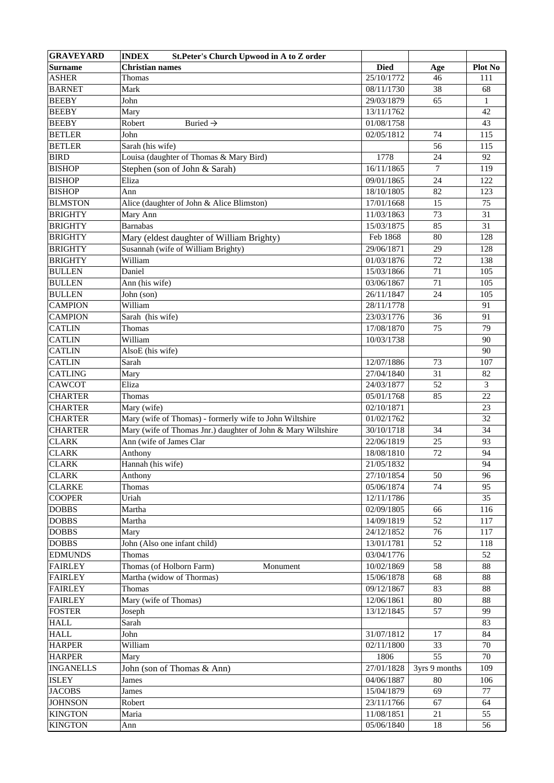| <b>GRAVEYARD</b> | <b>INDEX</b><br><b>St.Peter's Church Upwood in A to Z order</b> |             |               |              |
|------------------|-----------------------------------------------------------------|-------------|---------------|--------------|
| Surname          | <b>Christian names</b>                                          | <b>Died</b> | Age           | Plot No      |
| <b>ASHER</b>     | Thomas                                                          | 25/10/1772  | 46            | 111          |
| <b>BARNET</b>    | Mark                                                            | 08/11/1730  | 38            | 68           |
| <b>BEEBY</b>     | John                                                            | 29/03/1879  | 65            | $\mathbf{1}$ |
| <b>BEEBY</b>     | Mary                                                            | 13/11/1762  |               | 42           |
| <b>BEEBY</b>     | Robert<br>Buried $\rightarrow$                                  | 01/08/1758  |               | 43           |
| <b>BETLER</b>    | John                                                            | 02/05/1812  | 74            | 115          |
| <b>BETLER</b>    | Sarah (his wife)                                                |             | 56            | 115          |
| <b>BIRD</b>      | Louisa (daughter of Thomas & Mary Bird)                         | 1778        | 24            | 92           |
| <b>BISHOP</b>    | Stephen (son of John & Sarah)                                   | 16/11/1865  | 7             | 119          |
| <b>BISHOP</b>    | Eliza                                                           | 09/01/1865  | 24            | 122          |
| <b>BISHOP</b>    | Ann                                                             | 18/10/1805  | 82            | 123          |
| <b>BLMSTON</b>   | Alice (daughter of John & Alice Blimston)                       | 17/01/1668  | 15            | 75           |
| <b>BRIGHTY</b>   | Mary Ann                                                        | 11/03/1863  | 73            | 31           |
| <b>BRIGHTY</b>   | <b>Barnabas</b>                                                 | 15/03/1875  | 85            | 31           |
| <b>BRIGHTY</b>   | Mary (eldest daughter of William Brighty)                       | Feb 1868    | 80            | 128          |
| <b>BRIGHTY</b>   | Susannah (wife of William Brighty)                              | 29/06/1871  | 29            | 128          |
| <b>BRIGHTY</b>   | William                                                         | 01/03/1876  | 72            | 138          |
| <b>BULLEN</b>    | Daniel                                                          |             | 71            | 105          |
|                  |                                                                 | 15/03/1866  |               |              |
| <b>BULLEN</b>    | Ann (his wife)                                                  | 03/06/1867  | 71            | 105          |
| <b>BULLEN</b>    | John (son)                                                      | 26/11/1847  | 24            | 105          |
| <b>CAMPION</b>   | William                                                         | 28/11/1778  |               | 91           |
| <b>CAMPION</b>   | Sarah (his wife)                                                | 23/03/1776  | 36            | 91           |
| <b>CATLIN</b>    | Thomas                                                          | 17/08/1870  | 75            | 79           |
| <b>CATLIN</b>    | William                                                         | 10/03/1738  |               | 90           |
| <b>CATLIN</b>    | AlsoE (his wife)                                                |             |               | 90           |
| <b>CATLIN</b>    | Sarah                                                           | 12/07/1886  | 73            | 107          |
| <b>CATLING</b>   | Mary                                                            | 27/04/1840  | 31            | 82           |
| CAWCOT           | Eliza                                                           | 24/03/1877  | 52            | 3            |
| <b>CHARTER</b>   | Thomas                                                          | 05/01/1768  | 85            | 22           |
| <b>CHARTER</b>   | Mary (wife)                                                     | 02/10/1871  |               | 23           |
| <b>CHARTER</b>   | Mary (wife of Thomas) - formerly wife to John Wiltshire         | 01/02/1762  |               | 32           |
| <b>CHARTER</b>   | Mary (wife of Thomas Jnr.) daughter of John & Mary Wiltshire    | 30/10/1718  | 34            | 34           |
| <b>CLARK</b>     | Ann (wife of James Clar                                         | 22/06/1819  | 25            | 93           |
| <b>CLARK</b>     | Anthony                                                         | 18/08/1810  | 72            | 94           |
| <b>CLARK</b>     | Hannah (his wife)                                               | 21/05/1832  |               | 94           |
| <b>CLARK</b>     | Anthony                                                         | 27/10/1854  | 50            | 96           |
| <b>CLARKE</b>    | Thomas                                                          | 05/06/1874  | 74            | 95           |
| <b>COOPER</b>    | Uriah                                                           | 12/11/1786  |               | 35           |
| <b>DOBBS</b>     | Martha                                                          | 02/09/1805  | 66            | 116          |
| <b>DOBBS</b>     | Martha                                                          | 14/09/1819  | 52            | 117          |
| <b>DOBBS</b>     | Mary                                                            | 24/12/1852  | 76            | 117          |
| <b>DOBBS</b>     | John (Also one infant child)                                    | 13/01/1781  | 52            | 118          |
| <b>EDMUNDS</b>   | Thomas                                                          | 03/04/1776  |               | 52           |
| <b>FAIRLEY</b>   | Thomas (of Holborn Farm)<br>Monument                            | 10/02/1869  | 58            | $88\,$       |
| <b>FAIRLEY</b>   | Martha (widow of Thormas)                                       | 15/06/1878  | 68            | 88           |
| <b>FAIRLEY</b>   | Thomas                                                          | 09/12/1867  | 83            | $88\,$       |
| <b>FAIRLEY</b>   | Mary (wife of Thomas)                                           | 12/06/1861  | $80\,$        | 88           |
| <b>FOSTER</b>    | Joseph                                                          | 13/12/1845  | 57            | 99           |
| <b>HALL</b>      | Sarah                                                           |             |               | 83           |
| <b>HALL</b>      | John                                                            | 31/07/1812  | 17            | 84           |
| <b>HARPER</b>    | William                                                         | 02/11/1800  | 33            | $70\,$       |
| <b>HARPER</b>    | Mary                                                            | 1806        | 55            | $70\,$       |
| <b>INGANELLS</b> | John (son of Thomas & Ann)                                      | 27/01/1828  | 3yrs 9 months | 109          |
| <b>ISLEY</b>     | James                                                           | 04/06/1887  | 80            | 106          |
| <b>JACOBS</b>    |                                                                 | 15/04/1879  | 69            | 77           |
|                  | James                                                           |             |               |              |
| <b>JOHNSON</b>   | Robert                                                          | 23/11/1766  | 67            | 64<br>55     |
| <b>KINGTON</b>   | Maria                                                           | 11/08/1851  | 21            |              |
| <b>KINGTON</b>   | Ann                                                             | 05/06/1840  | 18            | 56           |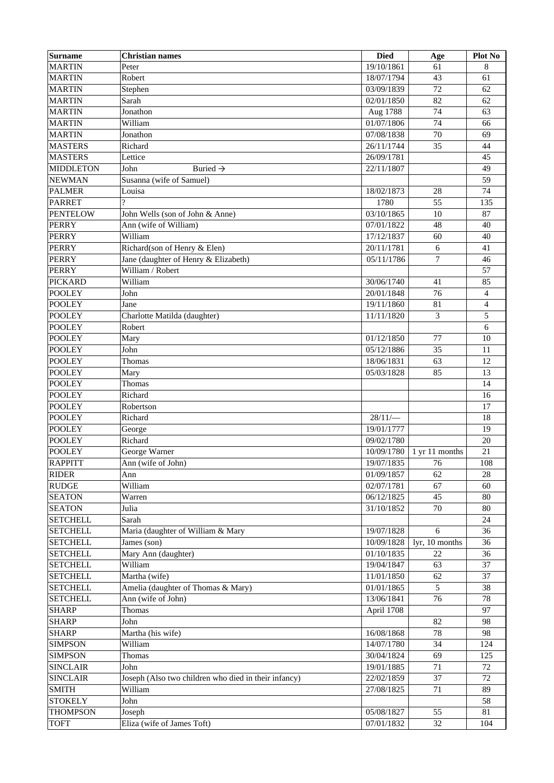| <b>Surname</b>   | <b>Christian names</b>                               | <b>Died</b> | Age            | Plot No        |
|------------------|------------------------------------------------------|-------------|----------------|----------------|
| <b>MARTIN</b>    | Peter                                                | 19/10/1861  | 61             | 8              |
| <b>MARTIN</b>    | Robert                                               | 18/07/1794  | 43             | 61             |
| <b>MARTIN</b>    | Stephen                                              | 03/09/1839  | 72             | 62             |
| <b>MARTIN</b>    | Sarah                                                | 02/01/1850  | 82             | 62             |
| <b>MARTIN</b>    | Jonathon                                             | Aug 1788    | 74             | 63             |
| <b>MARTIN</b>    | William                                              | 01/07/1806  | 74             | 66             |
| <b>MARTIN</b>    | Jonathon                                             | 07/08/1838  | 70             | 69             |
| <b>MASTERS</b>   | Richard                                              | 26/11/1744  | 35             | 44             |
| <b>MASTERS</b>   | Lettice                                              | 26/09/1781  |                | 45             |
| <b>MIDDLETON</b> | John<br>Buried $\rightarrow$                         | 22/11/1807  |                | 49             |
| NEWMAN           | Susanna (wife of Samuel)                             |             |                | 59             |
| <b>PALMER</b>    | Louisa                                               | 18/02/1873  | 28             | 74             |
| <b>PARRET</b>    |                                                      | 1780        | 55             | 135            |
| <b>PENTELOW</b>  | John Wells (son of John & Anne)                      | 03/10/1865  | 10             | 87             |
| <b>PERRY</b>     | Ann (wife of William)                                | 07/01/1822  | 48             | 40             |
| <b>PERRY</b>     | William                                              | 17/12/1837  | 60             | 40             |
| <b>PERRY</b>     | Richard(son of Henry & Elen)                         | 20/11/1781  | 6              | 41             |
| <b>PERRY</b>     | Jane (daughter of Henry & Elizabeth)                 |             |                |                |
|                  |                                                      | 05/11/1786  | 7              | 46             |
| <b>PERRY</b>     | William / Robert                                     |             |                | 57             |
| <b>PICKARD</b>   | William                                              | 30/06/1740  | 41             | 85             |
| <b>POOLEY</b>    | John                                                 | 20/01/1848  | 76             | $\overline{4}$ |
| <b>POOLEY</b>    | Jane                                                 | 19/11/1860  | 81             | $\overline{4}$ |
| <b>POOLEY</b>    | Charlotte Matilda (daughter)                         | 11/11/1820  | 3              | 5              |
| <b>POOLEY</b>    | Robert                                               |             |                | 6              |
| <b>POOLEY</b>    | Mary                                                 | 01/12/1850  | 77             | 10             |
| <b>POOLEY</b>    | John                                                 | 05/12/1886  | 35             | 11             |
| <b>POOLEY</b>    | Thomas                                               | 18/06/1831  | 63             | 12             |
| <b>POOLEY</b>    | Mary                                                 | 05/03/1828  | 85             | 13             |
| <b>POOLEY</b>    | Thomas                                               |             |                | 14             |
| <b>POOLEY</b>    | Richard                                              |             |                | 16             |
| <b>POOLEY</b>    | Robertson                                            |             |                | 17             |
| <b>POOLEY</b>    | Richard                                              | 28/11/      |                | 18             |
| <b>POOLEY</b>    | George                                               | 19/01/1777  |                | 19             |
| <b>POOLEY</b>    | Richard                                              | 09/02/1780  |                | 20             |
| <b>POOLEY</b>    | George Warner                                        | 10/09/1780  | 1 yr 11 months | 21             |
| <b>RAPPITT</b>   | Ann (wife of John)                                   | 19/07/1835  | 76             | 108            |
| <b>RIDER</b>     | Ann                                                  | 01/09/1857  | 62             | 28             |
| <b>RUDGE</b>     | William                                              | 02/07/1781  | 67             | 60             |
| <b>SEATON</b>    | Warren                                               | 06/12/1825  | 45             | $80\,$         |
| <b>SEATON</b>    | Julia                                                | 31/10/1852  | 70             | 80             |
| <b>SETCHELL</b>  | Sarah                                                |             |                | 24             |
| <b>SETCHELL</b>  | Maria (daughter of William & Mary                    | 19/07/1828  | 6              | 36             |
| <b>SETCHELL</b>  | James (son)                                          | 10/09/1828  | lyr, 10 months | 36             |
| <b>SETCHELL</b>  | Mary Ann (daughter)                                  | 01/10/1835  | 22             | 36             |
| <b>SETCHELL</b>  | William                                              | 19/04/1847  | 63             | 37             |
| <b>SETCHELL</b>  | Martha (wife)                                        | 11/01/1850  | 62             | 37             |
| <b>SETCHELL</b>  | Amelia (daughter of Thomas & Mary)                   | 01/01/1865  | 5              | 38             |
| <b>SETCHELL</b>  | Ann (wife of John)                                   | 13/06/1841  | 76             | 78             |
| <b>SHARP</b>     | Thomas                                               | April 1708  |                | 97             |
| <b>SHARP</b>     | John                                                 |             | 82             | 98             |
|                  |                                                      |             |                |                |
| <b>SHARP</b>     | Martha (his wife)                                    | 16/08/1868  | 78             | 98             |
| <b>SIMPSON</b>   | William                                              | 14/07/1780  | 34             | 124            |
| <b>SIMPSON</b>   | Thomas                                               | 30/04/1824  | 69             | 125            |
| <b>SINCLAIR</b>  | John                                                 | 19/01/1885  | 71             | 72             |
| <b>SINCLAIR</b>  | Joseph (Also two children who died in their infancy) | 22/02/1859  | 37             | 72             |
| <b>SMITH</b>     | William                                              | 27/08/1825  | 71             | 89             |
| <b>STOKELY</b>   | John                                                 |             |                | 58             |
| <b>THOMPSON</b>  | Joseph                                               | 05/08/1827  | 55             | 81             |
| <b>TOFT</b>      | Eliza (wife of James Toft)                           | 07/01/1832  | $32\,$         | 104            |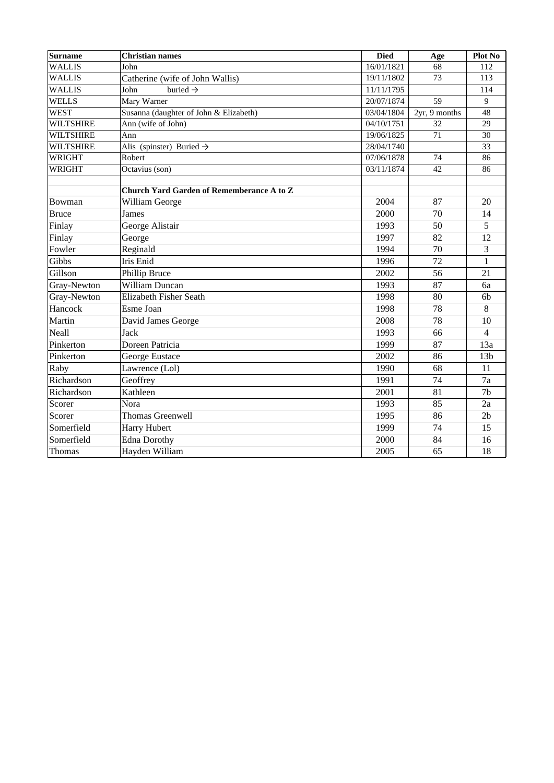| Surname          | <b>Christian names</b>                    | <b>Died</b> | Age           | Plot No         |
|------------------|-------------------------------------------|-------------|---------------|-----------------|
| <b>WALLIS</b>    | John                                      | 16/01/1821  | 68            | 112             |
| <b>WALLIS</b>    | Catherine (wife of John Wallis)           | 19/11/1802  | 73            | 113             |
| <b>WALLIS</b>    | buried $\rightarrow$<br>John              | 11/11/1795  |               | 114             |
| WELLS            | Mary Warner                               | 20/07/1874  | 59            | 9               |
| <b>WEST</b>      | Susanna (daughter of John & Elizabeth)    | 03/04/1804  | 2yr, 9 months | 48              |
| <b>WILTSHIRE</b> | Ann (wife of John)                        | 04/10/1751  | 32            | 29              |
| <b>WILTSHIRE</b> | Ann                                       | 19/06/1825  | 71            | 30              |
| <b>WILTSHIRE</b> | Alis (spinster) Buried $\rightarrow$      | 28/04/1740  |               | 33              |
| WRIGHT           | Robert                                    | 07/06/1878  | 74            | 86              |
| <b>WRIGHT</b>    | Octavius (son)                            | 03/11/1874  | 42            | 86              |
|                  |                                           |             |               |                 |
|                  | Church Yard Garden of Rememberance A to Z |             |               |                 |
| Bowman           | William George                            | 2004        | 87            | 20              |
| <b>Bruce</b>     | James                                     | 2000        | 70            | 14              |
| Finlay           | George Alistair                           | 1993        | 50            | 5               |
| Finlay           | George                                    | 1997        | 82            | 12              |
| Fowler           | Reginald                                  | 1994        | 70            | 3               |
| Gibbs            | Iris Enid                                 | 1996        | 72            | $\mathbf{1}$    |
| Gillson          | Phillip Bruce                             | 2002        | 56            | 21              |
| Gray-Newton      | <b>William Duncan</b>                     | 1993        | 87            | 6a              |
| Gray-Newton      | Elizabeth Fisher Seath                    | 1998        | 80            | 6 <sub>b</sub>  |
| Hancock          | Esme Joan                                 | 1998        | 78            | 8               |
| Martin           | David James George                        | 2008        | 78            | 10              |
| Neall            | Jack                                      | 1993        | 66            | $\overline{4}$  |
| Pinkerton        | Doreen Patricia                           | 1999        | 87            | 13a             |
| Pinkerton        | George Eustace                            | 2002        | 86            | 13 <sub>b</sub> |
| Raby             | Lawrence (Lol)                            | 1990        | 68            | 11              |
| Richardson       | Geoffrey                                  | 1991        | 74            | 7a              |
| Richardson       | Kathleen                                  | 2001        | 81            | 7 <sub>b</sub>  |
| Scorer           | Nora                                      | 1993        | 85            | 2a              |
| Scorer           | <b>Thomas Greenwell</b>                   | 1995        | 86            | 2 <sub>b</sub>  |
| Somerfield       | Harry Hubert                              | 1999        | 74            | 15              |
| Somerfield       | Edna Dorothy                              | 2000        | 84            | 16              |
| Thomas           | Hayden William                            | 2005        | 65            | 18              |